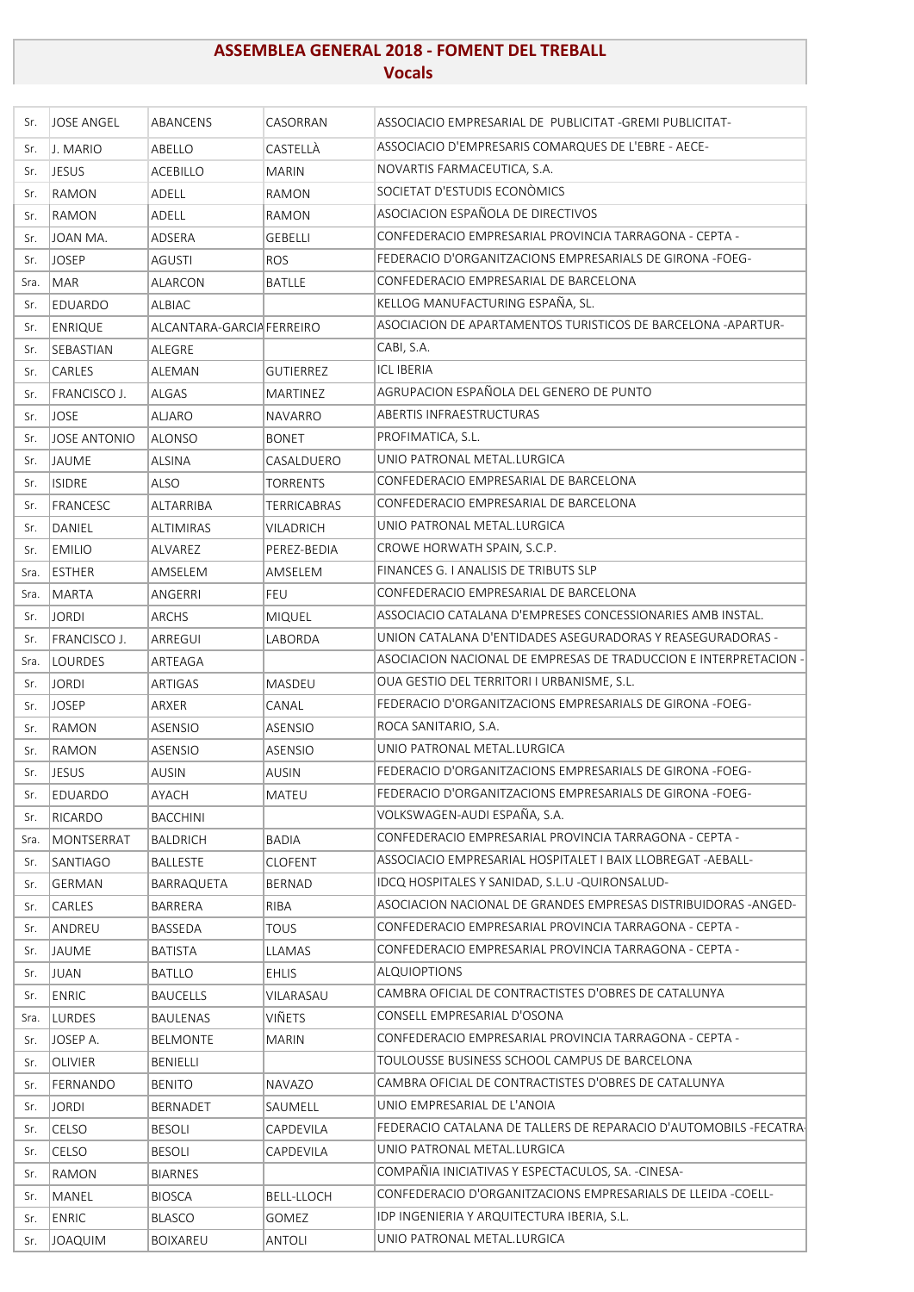## **ASSEMBLEA GENERAL 2018 ‐ FOMENT DEL TREBALL Vocals**

| Sr.  | <b>JOSE ANGEL</b>   | ABANCENS                  | CASORRAN         | ASSOCIACIO EMPRESARIAL DE PUBLICITAT - GREMI PUBLICITAT-         |
|------|---------------------|---------------------------|------------------|------------------------------------------------------------------|
| Sr.  | J. MARIO            | ABELLO                    | CASTELLÀ         | ASSOCIACIO D'EMPRESARIS COMARQUES DE L'EBRE - AECE-              |
| Sr.  | <b>JESUS</b>        | ACEBILLO                  | <b>MARIN</b>     | NOVARTIS FARMACEUTICA, S.A.                                      |
| Sr.  | <b>RAMON</b>        | ADELL                     | RAMON            | SOCIETAT D'ESTUDIS ECONÒMICS                                     |
| Sr.  | RAMON               | ADELL                     | RAMON            | ASOCIACION ESPAÑOLA DE DIRECTIVOS                                |
| Sr.  | JOAN MA.            | ADSERA                    | <b>GEBELLI</b>   | CONFEDERACIO EMPRESARIAL PROVINCIA TARRAGONA - CEPTA -           |
| Sr.  | <b>JOSEP</b>        | AGUSTI                    | <b>ROS</b>       | FEDERACIO D'ORGANITZACIONS EMPRESARIALS DE GIRONA -FOEG-         |
| Sra. | MAR                 | ALARCON                   | <b>BATLLE</b>    | CONFEDERACIO EMPRESARIAL DE BARCELONA                            |
| Sr.  | EDUARDO             | ALBIAC                    |                  | KELLOG MANUFACTURING ESPAÑA, SL.                                 |
| Sr.  | <b>ENRIQUE</b>      | ALCANTARA-GARCIA FERREIRO |                  | ASOCIACION DE APARTAMENTOS TURISTICOS DE BARCELONA -APARTUR-     |
| Sr.  | SEBASTIAN           | ALEGRE                    |                  | CABI, S.A.                                                       |
| Sr.  | <b>CARLES</b>       | ALEMAN                    | <b>GUTIERREZ</b> | <b>ICL IBERIA</b>                                                |
| Sr.  | FRANCISCO J.        | <b>ALGAS</b>              | MARTINEZ         | AGRUPACION ESPAÑOLA DEL GENERO DE PUNTO                          |
| Sr.  | <b>JOSE</b>         | <b>ALJARO</b>             | NAVARRO          | <b>ABERTIS INFRAESTRUCTURAS</b>                                  |
| Sr.  | <b>JOSE ANTONIO</b> | <b>ALONSO</b>             | BONET            | PROFIMATICA, S.L.                                                |
| Sr.  | JAUME               | <b>ALSINA</b>             | CASALDUERO       | UNIO PATRONAL METAL.LURGICA                                      |
| Sr.  | <b>ISIDRE</b>       | <b>ALSO</b>               | TORRENTS         | CONFEDERACIO EMPRESARIAL DE BARCELONA                            |
| Sr.  | FRANCESC            | <b>ALTARRIBA</b>          | TERRICABRAS      | CONFEDERACIO EMPRESARIAL DE BARCELONA                            |
| Sr.  | DANIEL              | <b>ALTIMIRAS</b>          | VILADRICH        | UNIO PATRONAL METAL.LURGICA                                      |
| Sr.  | <b>EMILIO</b>       | ALVAREZ                   | PEREZ-BEDIA      | CROWE HORWATH SPAIN, S.C.P.                                      |
| Sra. | <b>ESTHER</b>       | AMSELEM                   | AMSELEM          | FINANCES G. I ANALISIS DE TRIBUTS SLP                            |
| Sra. | MARTA               | ANGERRI                   | <b>FEU</b>       | CONFEDERACIO EMPRESARIAL DE BARCELONA                            |
| Sr.  | <b>JORDI</b>        | <b>ARCHS</b>              | <b>MIQUEL</b>    | ASSOCIACIO CATALANA D'EMPRESES CONCESSIONARIES AMB INSTAL.       |
| Sr.  | FRANCISCO J.        | ARREGUI                   | LABORDA          | UNION CATALANA D'ENTIDADES ASEGURADORAS Y REASEGURADORAS -       |
| Sra. | <b>LOURDES</b>      | ARTEAGA                   |                  | ASOCIACION NACIONAL DE EMPRESAS DE TRADUCCION E INTERPRETACION - |
| Sr.  | <b>JORDI</b>        | ARTIGAS                   | MASDEU           | OUA GESTIO DEL TERRITORI I URBANISME, S.L.                       |
| Sr.  | <b>JOSEP</b>        | ARXER                     | CANAL            | FEDERACIO D'ORGANITZACIONS EMPRESARIALS DE GIRONA -FOEG-         |
| Sr.  | <b>RAMON</b>        | <b>ASENSIO</b>            | <b>ASENSIO</b>   | ROCA SANITARIO, S.A.                                             |
| Sr.  | RAMON               | ASENSIO                   | <b>ASENSIO</b>   | UNIO PATRONAL METAL.LURGICA                                      |
| Sr.  | JESUS               | <b>AUSIN</b>              | <b>AUSIN</b>     | FEDERACIO D'ORGANITZACIONS EMPRESARIALS DE GIRONA -FOEG-         |
| Sr.  | EDUARDO             | AYACH                     | MATEU            | FEDERACIO D'ORGANITZACIONS EMPRESARIALS DE GIRONA -FOEG-         |
| Sr.  | RICARDO             | <b>BACCHINI</b>           |                  | VOLKSWAGEN-AUDI ESPAÑA, S.A.                                     |
| Sra. | MONTSERRAT          | <b>BALDRICH</b>           | <b>BADIA</b>     | CONFEDERACIO EMPRESARIAL PROVINCIA TARRAGONA - CEPTA -           |
| Sr.  | <b>SANTIAGO</b>     | <b>BALLESTE</b>           | <b>CLOFENT</b>   | ASSOCIACIO EMPRESARIAL HOSPITALET I BAIX LLOBREGAT -AEBALL-      |
| Sr.  | <b>GERMAN</b>       | BARRAQUETA                | BERNAD           | IDCQ HOSPITALES Y SANIDAD, S.L.U - QUIRONSALUD-                  |
| Sr.  | CARLES              | <b>BARRERA</b>            | RIBA             | ASOCIACION NACIONAL DE GRANDES EMPRESAS DISTRIBUIDORAS -ANGED-   |
| Sr.  | ANDREU              | BASSEDA                   | <b>TOUS</b>      | CONFEDERACIO EMPRESARIAL PROVINCIA TARRAGONA - CEPTA -           |
| Sr.  | JAUME               | <b>BATISTA</b>            | LLAMAS           | CONFEDERACIO EMPRESARIAL PROVINCIA TARRAGONA - CEPTA -           |
| Sr.  | <b>JUAN</b>         | <b>BATLLO</b>             | EHLIS            | <b>ALQUIOPTIONS</b>                                              |
| Sr.  | <b>ENRIC</b>        | <b>BAUCELLS</b>           | VILARASAU        | CAMBRA OFICIAL DE CONTRACTISTES D'OBRES DE CATALUNYA             |
| Sra. | LURDES              | <b>BAULENAS</b>           | VIÑETS           | CONSELL EMPRESARIAL D'OSONA                                      |
| Sr.  | JOSEP A.            | <b>BELMONTE</b>           | <b>MARIN</b>     | CONFEDERACIO EMPRESARIAL PROVINCIA TARRAGONA - CEPTA -           |
| Sr.  | <b>OLIVIER</b>      | BENIELLI                  |                  | TOULOUSSE BUSINESS SCHOOL CAMPUS DE BARCELONA                    |
| Sr.  | FERNANDO            | <b>BENITO</b>             | NAVAZO           | CAMBRA OFICIAL DE CONTRACTISTES D'OBRES DE CATALUNYA             |
| Sr.  | <b>JORDI</b>        | <b>BERNADET</b>           | SAUMELL          | UNIO EMPRESARIAL DE L'ANOIA                                      |
| Sr.  | CELSO               | <b>BESOLI</b>             | CAPDEVILA        | FEDERACIO CATALANA DE TALLERS DE REPARACIO D'AUTOMOBILS -FECATRA |
| Sr.  | CELSO               | <b>BESOLI</b>             | CAPDEVILA        | UNIO PATRONAL METAL.LURGICA                                      |
| Sr.  | RAMON               | <b>BIARNES</b>            |                  | COMPAÑIA INICIATIVAS Y ESPECTACULOS, SA. -CINESA-                |
| Sr.  | MANEL               | <b>BIOSCA</b>             | BELL-LLOCH       | CONFEDERACIO D'ORGANITZACIONS EMPRESARIALS DE LLEIDA -COELL-     |
| Sr.  | <b>ENRIC</b>        | <b>BLASCO</b>             | GOMEZ            | IDP INGENIERIA Y ARQUITECTURA IBERIA, S.L.                       |
| Sr.  | <b>JOAQUIM</b>      | <b>BOIXAREU</b>           | <b>ANTOLI</b>    | UNIO PATRONAL METAL.LURGICA                                      |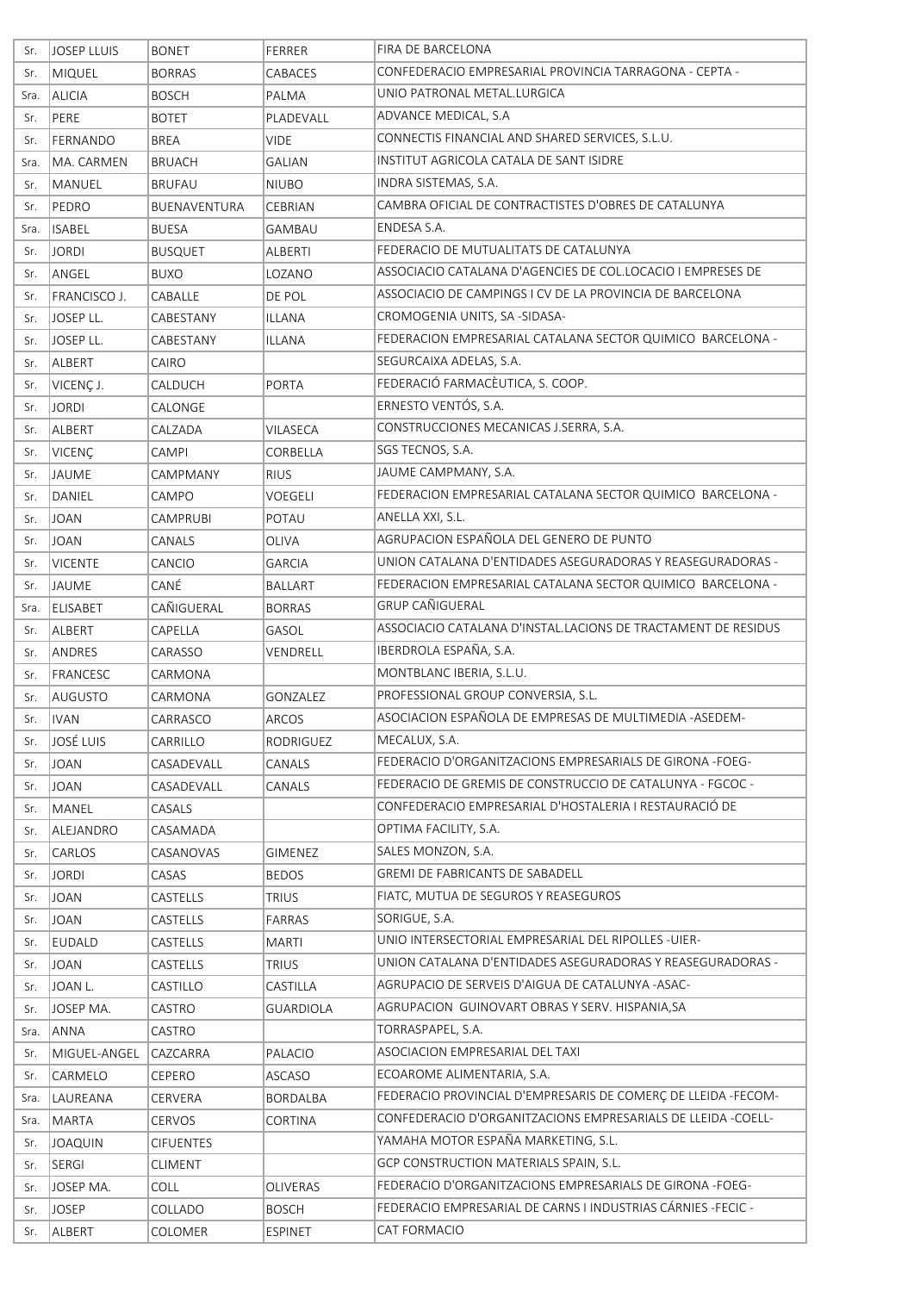| Sr.  | <b>JOSEP LLUIS</b> | <b>BONET</b>     | FERRER           | FIRA DE BARCELONA                                             |
|------|--------------------|------------------|------------------|---------------------------------------------------------------|
| Sr.  | MIQUEL             | <b>BORRAS</b>    | CABACES          | CONFEDERACIO EMPRESARIAL PROVINCIA TARRAGONA - CEPTA -        |
| Sra. | <b>ALICIA</b>      | <b>BOSCH</b>     | PALMA            | UNIO PATRONAL METAL.LURGICA                                   |
| Sr.  | PERE               | <b>BOTET</b>     | PLADEVALL        | ADVANCE MEDICAL, S.A                                          |
| Sr.  | FERNANDO           | <b>BREA</b>      | <b>VIDE</b>      | CONNECTIS FINANCIAL AND SHARED SERVICES, S.L.U.               |
| Sra. | MA. CARMEN         | <b>BRUACH</b>    | <b>GALIAN</b>    | INSTITUT AGRICOLA CATALA DE SANT ISIDRE                       |
| Sr.  | MANUEL             | <b>BRUFAU</b>    | <b>NIUBO</b>     | INDRA SISTEMAS, S.A.                                          |
| Sr.  | PEDRO              | BUENAVENTURA     | CEBRIAN          | CAMBRA OFICIAL DE CONTRACTISTES D'OBRES DE CATALUNYA          |
| Sra. | <b>ISABEL</b>      | <b>BUESA</b>     | GAMBAU           | ENDESA S.A.                                                   |
| Sr.  | <b>JORDI</b>       | <b>BUSQUET</b>   | ALBERTI          | FEDERACIO DE MUTUALITATS DE CATALUNYA                         |
| Sr.  | ANGEL              | <b>BUXO</b>      | LOZANO           | ASSOCIACIO CATALANA D'AGENCIES DE COL.LOCACIO I EMPRESES DE   |
| Sr.  | FRANCISCO J.       | CABALLE          | DE POL           | ASSOCIACIO DE CAMPINGS I CV DE LA PROVINCIA DE BARCELONA      |
| Sr.  | JOSEP LL.          | CABESTANY        | ILLANA           | CROMOGENIA UNITS, SA -SIDASA-                                 |
| Sr.  | JOSEP LL.          | CABESTANY        | ILLANA           | FEDERACION EMPRESARIAL CATALANA SECTOR QUIMICO BARCELONA -    |
| Sr.  | ALBERT             | CAIRO            |                  | SEGURCAIXA ADELAS, S.A.                                       |
| Sr.  | VICENÇ J.          | CALDUCH          | <b>PORTA</b>     | FEDERACIÓ FARMACÈUTICA, S. COOP.                              |
| Sr.  | <b>JORDI</b>       | CALONGE          |                  | ERNESTO VENTÓS, S.A.                                          |
| Sr.  | ALBERT             | CALZADA          | VILASECA         | CONSTRUCCIONES MECANICAS J.SERRA, S.A.                        |
| Sr.  | <b>VICENÇ</b>      | CAMPI            | CORBELLA         | SGS TECNOS, S.A.                                              |
| Sr.  | <b>JAUME</b>       | CAMPMANY         | <b>RIUS</b>      | JAUME CAMPMANY, S.A.                                          |
| Sr.  | DANIEL             | CAMPO            | <b>VOEGELI</b>   | FEDERACION EMPRESARIAL CATALANA SECTOR QUIMICO BARCELONA -    |
| Sr.  | <b>JOAN</b>        | CAMPRUBI         | POTAU            | ANELLA XXI, S.L.                                              |
| Sr.  | <b>JOAN</b>        | CANALS           | OLIVA            | AGRUPACION ESPAÑOLA DEL GENERO DE PUNTO                       |
| Sr.  | <b>VICENTE</b>     | CANCIO           | <b>GARCIA</b>    | UNION CATALANA D'ENTIDADES ASEGURADORAS Y REASEGURADORAS -    |
| Sr.  | <b>JAUME</b>       | CANÉ             | <b>BALLART</b>   | FEDERACION EMPRESARIAL CATALANA SECTOR QUIMICO BARCELONA -    |
| Sra. | ELISABET           | CAÑIGUERAL       | <b>BORRAS</b>    | <b>GRUP CAÑIGUERAL</b>                                        |
| Sr.  | ALBERT             | CAPELLA          | GASOL            | ASSOCIACIO CATALANA D'INSTAL.LACIONS DE TRACTAMENT DE RESIDUS |
| Sr.  | ANDRES             | CARASSO          | VENDRELL         | IBERDROLA ESPAÑA, S.A.                                        |
| Sr.  | FRANCESC           | CARMONA          |                  | MONTBLANC IBERIA, S.L.U.                                      |
| Sr.  | AUGUSTO            | CARMONA          | <b>GONZALEZ</b>  | PROFESSIONAL GROUP CONVERSIA, S.L.                            |
| Sr.  | <b>IVAN</b>        | CARRASCO         | <b>ARCOS</b>     | ASOCIACION ESPAÑOLA DE EMPRESAS DE MULTIMEDIA - ASEDEM-       |
| Sr.  | JOSÉ LUIS          | CARRILLO         | RODRIGUEZ        | MECALUX, S.A.                                                 |
| Sr.  | JOAN               | CASADEVALL       | CANALS           | FEDERACIO D'ORGANITZACIONS EMPRESARIALS DE GIRONA -FOEG-      |
| Sr.  | JOAN               | CASADEVALL       | CANALS           | FEDERACIO DE GREMIS DE CONSTRUCCIO DE CATALUNYA - FGCOC -     |
| Sr.  | MANEL              | CASALS           |                  | CONFEDERACIO EMPRESARIAL D'HOSTALERIA I RESTAURACIÓ DE        |
| Sr.  | ALEJANDRO          | CASAMADA         |                  | OPTIMA FACILITY, S.A.                                         |
| Sr.  | <b>CARLOS</b>      | CASANOVAS        | <b>GIMENEZ</b>   | SALES MONZON, S.A.                                            |
| Sr.  | <b>JORDI</b>       | CASAS            | <b>BEDOS</b>     | GREMI DE FABRICANTS DE SABADELL                               |
| Sr.  | <b>JOAN</b>        | CASTELLS         | <b>TRIUS</b>     | FIATC, MUTUA DE SEGUROS Y REASEGUROS                          |
| Sr.  | <b>JOAN</b>        | CASTELLS         | FARRAS           | SORIGUE, S.A.                                                 |
| Sr.  | <b>EUDALD</b>      | CASTELLS         | <b>MARTI</b>     | UNIO INTERSECTORIAL EMPRESARIAL DEL RIPOLLES -UIER-           |
| Sr.  | <b>JOAN</b>        | CASTELLS         | <b>TRIUS</b>     | UNION CATALANA D'ENTIDADES ASEGURADORAS Y REASEGURADORAS -    |
| Sr.  | JOAN L.            | CASTILLO         | CASTILLA         | AGRUPACIO DE SERVEIS D'AIGUA DE CATALUNYA -ASAC-              |
| Sr.  | JOSEP MA.          | CASTRO           | <b>GUARDIOLA</b> | AGRUPACION GUINOVART OBRAS Y SERV. HISPANIA, SA               |
| Sra. | <b>ANNA</b>        | CASTRO           |                  | TORRASPAPEL, S.A.                                             |
| Sr.  | MIGUEL-ANGEL       | CAZCARRA         | PALACIO          | ASOCIACION EMPRESARIAL DEL TAXI                               |
| Sr.  | CARMELO            | CEPERO           | <b>ASCASO</b>    | ECOAROME ALIMENTARIA, S.A.                                    |
| Sra. | LAUREANA           | CERVERA          | BORDALBA         | FEDERACIO PROVINCIAL D'EMPRESARIS DE COMERÇ DE LLEIDA-FECOM-  |
| Sra. | MARTA              | <b>CERVOS</b>    | CORTINA          | CONFEDERACIO D'ORGANITZACIONS EMPRESARIALS DE LLEIDA -COELL-  |
| Sr.  | <b>JOAQUIN</b>     | <b>CIFUENTES</b> |                  | YAMAHA MOTOR ESPAÑA MARKETING, S.L.                           |
| Sr.  | SERGI              | <b>CLIMENT</b>   |                  | GCP CONSTRUCTION MATERIALS SPAIN, S.L.                        |
| Sr.  | JOSEP MA.          | COLL             | OLIVERAS         | FEDERACIO D'ORGANITZACIONS EMPRESARIALS DE GIRONA -FOEG-      |
| Sr.  | <b>JOSEP</b>       | COLLADO          | <b>BOSCH</b>     | FEDERACIO EMPRESARIAL DE CARNS I INDUSTRIAS CÁRNIES -FECIC -  |
| Sr.  | ALBERT             | COLOMER          | <b>ESPINET</b>   | CAT FORMACIO                                                  |
|      |                    |                  |                  |                                                               |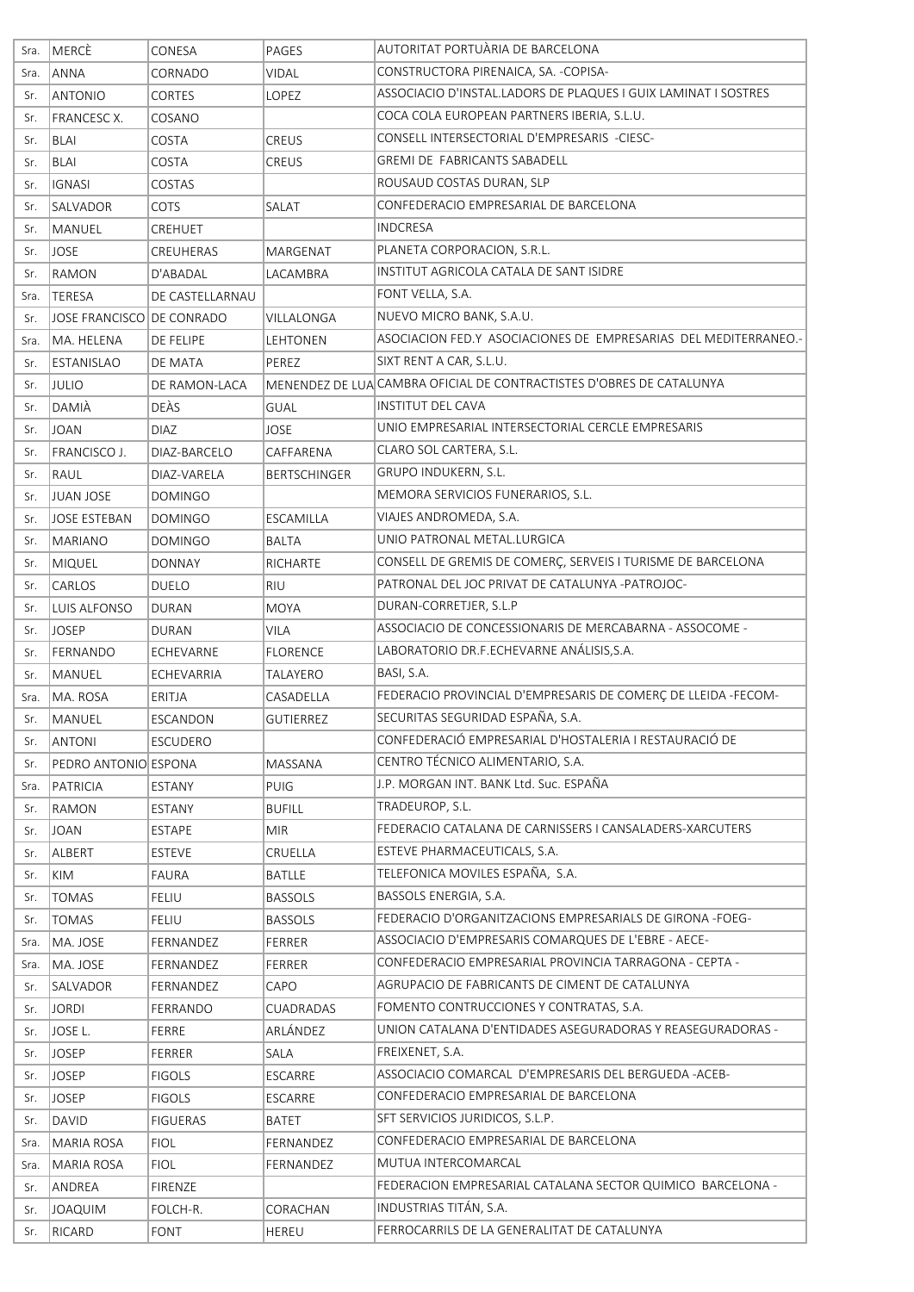| Sra. | <b>MERCÈ</b>              | CONESA          | PAGES               | AUTORITAT PORTUÀRIA DE BARCELONA                                     |
|------|---------------------------|-----------------|---------------------|----------------------------------------------------------------------|
| Sra. | <b>ANNA</b>               | CORNADO         | <b>VIDAL</b>        | CONSTRUCTORA PIRENAICA, SA. - COPISA-                                |
| Sr.  | <b>ANTONIO</b>            | <b>CORTES</b>   | LOPEZ               | ASSOCIACIO D'INSTAL.LADORS DE PLAQUES I GUIX LAMINAT I SOSTRES       |
| Sr.  | <b>FRANCESC X.</b>        | COSANO          |                     | COCA COLA EUROPEAN PARTNERS IBERIA, S.L.U.                           |
| Sr.  | <b>BLAI</b>               | COSTA           | <b>CREUS</b>        | CONSELL INTERSECTORIAL D'EMPRESARIS -CIESC-                          |
| Sr.  | BLAI                      | COSTA           | <b>CREUS</b>        | <b>GREMI DE FABRICANTS SABADELL</b>                                  |
| Sr.  | <b>IGNASI</b>             | COSTAS          |                     | ROUSAUD COSTAS DURAN, SLP                                            |
| Sr.  | <b>SALVADOR</b>           | COTS            | SALAT               | CONFEDERACIO EMPRESARIAL DE BARCELONA                                |
| Sr.  | <b>MANUEL</b>             | CREHUET         |                     | <b>INDCRESA</b>                                                      |
| Sr.  | <b>JOSE</b>               | CREUHERAS       | MARGENAT            | PLANETA CORPORACION, S.R.L.                                          |
| Sr.  | RAMON                     | D'ABADAL        | LACAMBRA            | INSTITUT AGRICOLA CATALA DE SANT ISIDRE                              |
| Sra. | TERESA                    | DE CASTELLARNAU |                     | FONT VELLA, S.A.                                                     |
| Sr.  | JOSE FRANCISCO DE CONRADO |                 | VILLALONGA          | NUEVO MICRO BANK, S.A.U.                                             |
| Sra. | MA. HELENA                | DE FELIPE       | LEHTONEN            | ASOCIACION FED.Y ASOCIACIONES DE EMPRESARIAS DEL MEDITERRANEO.-      |
| Sr.  | <b>ESTANISLAO</b>         | DE MATA         | PEREZ               | SIXT RENT A CAR, S.L.U.                                              |
| Sr.  | JULIO                     | DE RAMON-LACA   |                     | MENENDEZ DE LUA CAMBRA OFICIAL DE CONTRACTISTES D'OBRES DE CATALUNYA |
| Sr.  | DAMIÀ                     | DEÀS            | GUAL                | INSTITUT DEL CAVA                                                    |
| Sr.  | <b>JOAN</b>               | <b>DIAZ</b>     | JOSE                | UNIO EMPRESARIAL INTERSECTORIAL CERCLE EMPRESARIS                    |
| Sr.  | FRANCISCO J.              | DIAZ-BARCELO    | CAFFARENA           | CLARO SOL CARTERA, S.L.                                              |
| Sr.  | RAUL                      | DIAZ-VARELA     | <b>BERTSCHINGER</b> | GRUPO INDUKERN, S.L.                                                 |
| Sr.  | JUAN JOSE                 | <b>DOMINGO</b>  |                     | MEMORA SERVICIOS FUNERARIOS, S.L.                                    |
| Sr.  | <b>JOSE ESTEBAN</b>       | <b>DOMINGO</b>  | ESCAMILLA           | VIAJES ANDROMEDA, S.A.                                               |
| Sr.  | MARIANO                   | <b>DOMINGO</b>  | <b>BALTA</b>        | UNIO PATRONAL METAL.LURGICA                                          |
| Sr.  | MIQUEL                    | <b>DONNAY</b>   | RICHARTE            | CONSELL DE GREMIS DE COMERÇ, SERVEIS I TURISME DE BARCELONA          |
| Sr.  | <b>CARLOS</b>             | DUELO           | <b>RIU</b>          | PATRONAL DEL JOC PRIVAT DE CATALUNYA -PATROJOC-                      |
| Sr.  | LUIS ALFONSO              | <b>DURAN</b>    | <b>MOYA</b>         | DURAN-CORRETJER, S.L.P                                               |
| Sr.  | <b>JOSEP</b>              | DURAN           | <b>VILA</b>         | ASSOCIACIO DE CONCESSIONARIS DE MERCABARNA - ASSOCOME -              |
| Sr.  | FERNANDO                  | ECHEVARNE       | <b>FLORENCE</b>     | LABORATORIO DR.F.ECHEVARNE ANÁLISIS, S.A.                            |
| Sr.  | <b>MANUEL</b>             | ECHEVARRIA      | TALAYERO            | BASI, S.A.                                                           |
| Sra. | MA. ROSA                  | ERITJA          | CASADELLA           | FEDERACIO PROVINCIAL D'EMPRESARIS DE COMERÇ DE LLEIDA-FECOM-         |
| Sr.  | MANUEL                    | ESCANDON        | <b>GUTIERREZ</b>    | SECURITAS SEGURIDAD ESPAÑA, S.A.                                     |
| Sr.  | <b>ANTONI</b>             | ESCUDERO        |                     | CONFEDERACIÓ EMPRESARIAL D'HOSTALERIA I RESTAURACIÓ DE               |
| Sr.  | PEDRO ANTONIO ESPONA      |                 | MASSANA             | CENTRO TÉCNICO ALIMENTARIO, S.A.                                     |
| Sra. | PATRICIA                  | <b>ESTANY</b>   | PUIG                | J.P. MORGAN INT. BANK Ltd. Suc. ESPAÑA                               |
| Sr.  | RAMON                     | <b>ESTANY</b>   | <b>BUFILL</b>       | TRADEUROP, S.L.                                                      |
| Sr.  | <b>JOAN</b>               | ESTAPE          | <b>MIR</b>          | FEDERACIO CATALANA DE CARNISSERS I CANSALADERS-XARCUTERS             |
| Sr.  | ALBERT                    | <b>ESTEVE</b>   | CRUELLA             | ESTEVE PHARMACEUTICALS, S.A.                                         |
| Sr.  | KIM                       | <b>FAURA</b>    | <b>BATLLE</b>       | TELEFONICA MOVILES ESPAÑA, S.A.                                      |
| Sr.  | TOMAS                     | FELIU           | <b>BASSOLS</b>      | BASSOLS ENERGIA, S.A.                                                |
| Sr.  | <b>TOMAS</b>              | <b>FELIU</b>    | <b>BASSOLS</b>      | FEDERACIO D'ORGANITZACIONS EMPRESARIALS DE GIRONA -FOEG-             |
| Sra. | MA. JOSE                  | FERNANDEZ       | FERRER              | ASSOCIACIO D'EMPRESARIS COMARQUES DE L'EBRE - AECE-                  |
| Sra. | MA. JOSE                  | FERNANDEZ       | FERRER              | CONFEDERACIO EMPRESARIAL PROVINCIA TARRAGONA - CEPTA -               |
| Sr.  | SALVADOR                  | FERNANDEZ       | CAPO                | AGRUPACIO DE FABRICANTS DE CIMENT DE CATALUNYA                       |
| Sr.  | <b>JORDI</b>              | FERRANDO        | CUADRADAS           | FOMENTO CONTRUCCIONES Y CONTRATAS, S.A.                              |
| Sr.  | JOSE L.                   | FERRE           | ARLÁNDEZ            | UNION CATALANA D'ENTIDADES ASEGURADORAS Y REASEGURADORAS -           |
| Sr.  | <b>JOSEP</b>              | FERRER          | SALA                | FREIXENET, S.A.                                                      |
| Sr.  | <b>JOSEP</b>              | <b>FIGOLS</b>   | ESCARRE             | ASSOCIACIO COMARCAL D'EMPRESARIS DEL BERGUEDA - ACEB-                |
| Sr.  | <b>JOSEP</b>              | <b>FIGOLS</b>   | ESCARRE             | CONFEDERACIO EMPRESARIAL DE BARCELONA                                |
| Sr.  | <b>DAVID</b>              | <b>FIGUERAS</b> | BATET               | SFT SERVICIOS JURIDICOS, S.L.P.                                      |
| Sra. | MARIA ROSA                | <b>FIOL</b>     | FERNANDEZ           | CONFEDERACIO EMPRESARIAL DE BARCELONA                                |
| Sra. | MARIA ROSA                | <b>FIOL</b>     | FERNANDEZ           | MUTUA INTERCOMARCAL                                                  |
| Sr.  | ANDREA                    | FIRENZE         |                     | FEDERACION EMPRESARIAL CATALANA SECTOR QUIMICO BARCELONA -           |
| Sr.  | <b>JOAQUIM</b>            | FOLCH-R.        | CORACHAN            | INDUSTRIAS TITÁN, S.A.                                               |
| Sr.  | RICARD                    | <b>FONT</b>     | <b>HEREU</b>        | FERROCARRILS DE LA GENERALITAT DE CATALUNYA                          |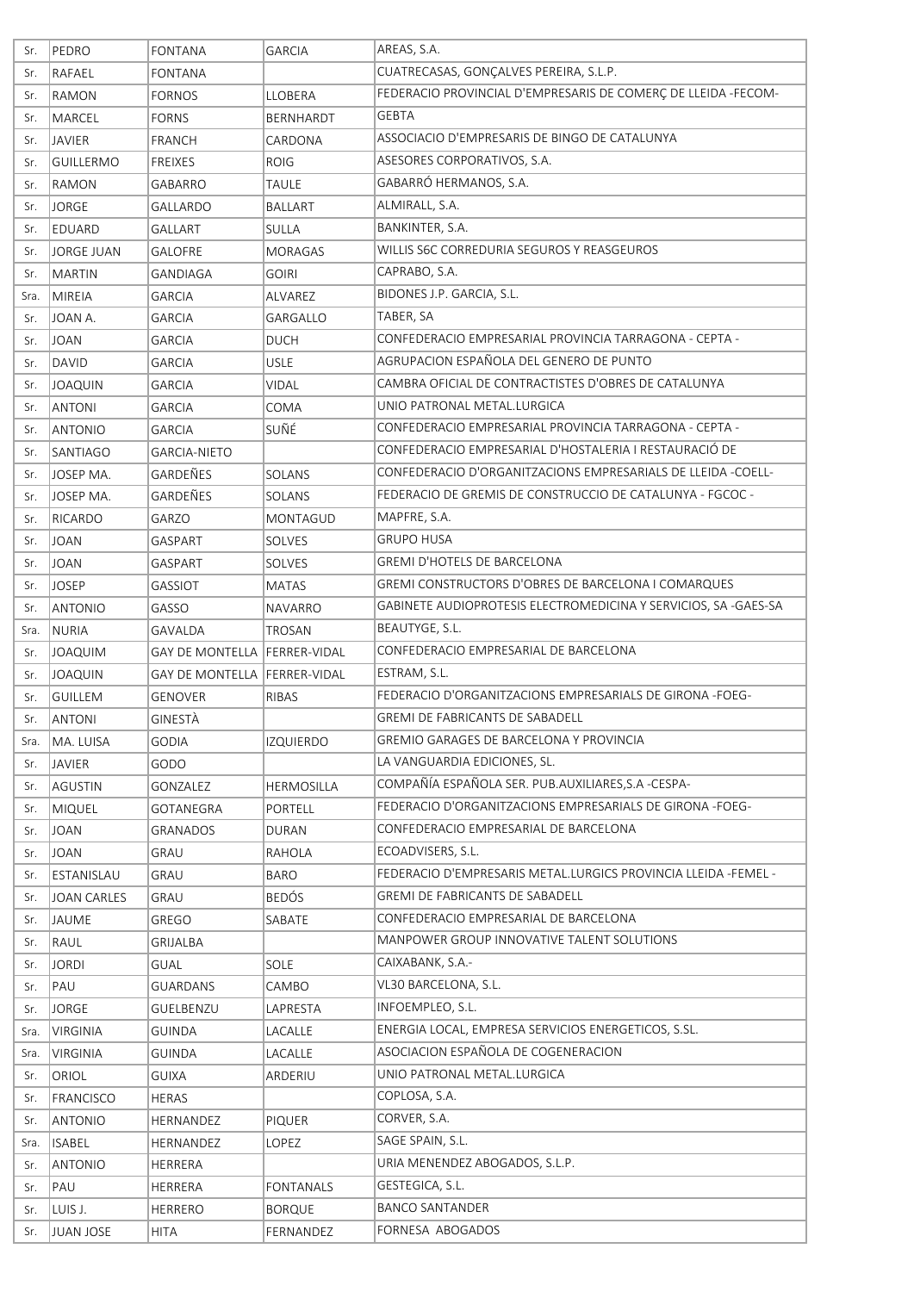| Sr.        | PEDRO                | <b>FONTANA</b>                 | <b>GARCIA</b>              | AREAS, S.A.                                                     |
|------------|----------------------|--------------------------------|----------------------------|-----------------------------------------------------------------|
| Sr.        | RAFAEL               | FONTANA                        |                            | CUATRECASAS, GONÇALVES PEREIRA, S.L.P.                          |
| Sr.        | RAMON                | <b>FORNOS</b>                  | <b>LLOBERA</b>             | FEDERACIO PROVINCIAL D'EMPRESARIS DE COMERÇ DE LLEIDA -FECOM-   |
| Sr.        | MARCEL               | <b>FORNS</b>                   | <b>BERNHARDT</b>           | <b>GEBTA</b>                                                    |
| Sr.        | <b>JAVIER</b>        | <b>FRANCH</b>                  | CARDONA                    | ASSOCIACIO D'EMPRESARIS DE BINGO DE CATALUNYA                   |
| Sr.        | <b>GUILLERMO</b>     | FREIXES                        | <b>ROIG</b>                | ASESORES CORPORATIVOS, S.A.                                     |
| Sr.        | RAMON                | GABARRO                        | <b>TAULE</b>               | GABARRÓ HERMANOS, S.A.                                          |
| Sr.        | <b>JORGE</b>         | GALLARDO                       | BALLART                    | ALMIRALL, S.A.                                                  |
| Sr.        | EDUARD               | <b>GALLART</b>                 | SULLA                      | BANKINTER, S.A.                                                 |
| Sr.        | <b>JORGE JUAN</b>    | <b>GALOFRE</b>                 | <b>MORAGAS</b>             | WILLIS S6C CORREDURIA SEGUROS Y REASGEUROS                      |
| Sr.        | <b>MARTIN</b>        | GANDIAGA                       | <b>GOIRI</b>               | CAPRABO, S.A.                                                   |
| Sra.       | MIREIA               | <b>GARCIA</b>                  | ALVAREZ                    | BIDONES J.P. GARCIA, S.L.                                       |
| Sr.        | JOAN A.              | <b>GARCIA</b>                  | GARGALLO                   | TABER, SA                                                       |
| Sr.        | <b>JOAN</b>          | <b>GARCIA</b>                  | <b>DUCH</b>                | CONFEDERACIO EMPRESARIAL PROVINCIA TARRAGONA - CEPTA -          |
| Sr.        | <b>DAVID</b>         | <b>GARCIA</b>                  | <b>USLE</b>                | AGRUPACION ESPAÑOLA DEL GENERO DE PUNTO                         |
| Sr.        | <b>JOAQUIN</b>       | <b>GARCIA</b>                  | <b>VIDAL</b>               | CAMBRA OFICIAL DE CONTRACTISTES D'OBRES DE CATALUNYA            |
| Sr.        | <b>ANTONI</b>        | GARCIA                         | COMA                       | UNIO PATRONAL METAL.LURGICA                                     |
| Sr.        | <b>ANTONIO</b>       | <b>GARCIA</b>                  | SUÑÉ                       | CONFEDERACIO EMPRESARIAL PROVINCIA TARRAGONA - CEPTA -          |
| Sr.        | <b>SANTIAGO</b>      | <b>GARCIA-NIETO</b>            |                            | CONFEDERACIO EMPRESARIAL D'HOSTALERIA I RESTAURACIÓ DE          |
| Sr.        | JOSEP MA.            | GARDEÑES                       | SOLANS                     | CONFEDERACIO D'ORGANITZACIONS EMPRESARIALS DE LLEIDA -COELL-    |
| Sr.        | JOSEP MA.            | GARDEÑES                       | SOLANS                     | FEDERACIO DE GREMIS DE CONSTRUCCIO DE CATALUNYA - FGCOC -       |
| Sr.        | RICARDO              | GARZO                          | MONTAGUD                   | MAPFRE, S.A.                                                    |
| Sr.        | <b>JOAN</b>          | GASPART                        | SOLVES                     | <b>GRUPO HUSA</b>                                               |
| Sr.        | <b>JOAN</b>          | GASPART                        | SOLVES                     | <b>GREMI D'HOTELS DE BARCELONA</b>                              |
| Sr.        | <b>JOSEP</b>         | GASSIOT                        | <b>MATAS</b>               | GREMI CONSTRUCTORS D'OBRES DE BARCELONA I COMARQUES             |
| Sr.        | <b>ANTONIO</b>       | GASSO                          | <b>NAVARRO</b>             | GABINETE AUDIOPROTESIS ELECTROMEDICINA Y SERVICIOS, SA -GAES-SA |
| Sra.       | NURIA                | GAVALDA                        | TROSAN                     | BEAUTYGE, S.L.                                                  |
| Sr.        | <b>JOAQUIM</b>       | GAY DE MONTELLA   FERRER-VIDAL |                            | CONFEDERACIO EMPRESARIAL DE BARCELONA                           |
| Sr.        | <b>JOAQUIN</b>       | GAY DE MONTELLA   FERRER-VIDAL |                            | ESTRAM, S.L.                                                    |
| Sr.        | <b>GUILLEM</b>       | <b>GENOVER</b>                 | <b>RIBAS</b>               | FEDERACIO D'ORGANITZACIONS EMPRESARIALS DE GIRONA -FOEG-        |
| Sr.        | <b>ANTONI</b>        | GINESTÀ                        |                            | <b>GREMI DE FABRICANTS DE SABADELL</b>                          |
| Sra.       | MA. LUISA            | GODIA                          | <b>IZQUIERDO</b>           | GREMIO GARAGES DE BARCELONA Y PROVINCIA                         |
| Sr.        | <b>JAVIER</b>        | GODO                           |                            | LA VANGUARDIA EDICIONES, SL.                                    |
| Sr.        | AGUSTIN              | GONZALEZ                       | HERMOSILLA                 | COMPAÑÍA ESPAÑOLA SER. PUB.AUXILIARES, S.A -CESPA-              |
| Sr.        | <b>MIQUEL</b>        | GOTANEGRA                      | PORTELL                    | FEDERACIO D'ORGANITZACIONS EMPRESARIALS DE GIRONA -FOEG-        |
| Sr.        | <b>JOAN</b>          | <b>GRANADOS</b>                | <b>DURAN</b>               | CONFEDERACIO EMPRESARIAL DE BARCELONA                           |
| Sr.        | JOAN                 | GRAU                           | RAHOLA                     | ECOADVISERS, S.L.                                               |
| Sr.        | ESTANISLAU           | GRAU                           | <b>BARO</b>                | FEDERACIO D'EMPRESARIS METAL.LURGICS PROVINCIA LLEIDA -FEMEL -  |
| Sr.        | <b>JOAN CARLES</b>   | GRAU                           | <b>BEDÓS</b>               | <b>GREMI DE FABRICANTS DE SABADELL</b>                          |
| Sr.        | <b>JAUME</b>         | GREGO                          | SABATE                     | CONFEDERACIO EMPRESARIAL DE BARCELONA                           |
| Sr.        | RAUL                 | GRIJALBA                       |                            | MANPOWER GROUP INNOVATIVE TALENT SOLUTIONS                      |
| Sr.        | <b>JORDI</b>         | GUAL                           | SOLE                       | CAIXABANK, S.A.-                                                |
| Sr.        | PAU                  | <b>GUARDANS</b>                | CAMBO                      | VL30 BARCELONA, S.L.                                            |
| Sr.        | <b>JORGE</b>         | GUELBENZU                      | LAPRESTA                   | INFOEMPLEO, S.L.                                                |
| Sra.       | <b>VIRGINIA</b>      | GUINDA                         | LACALLE                    | ENERGIA LOCAL, EMPRESA SERVICIOS ENERGETICOS, S.SL.             |
| Sra.       | <b>VIRGINIA</b>      | GUINDA                         | LACALLE                    | ASOCIACION ESPAÑOLA DE COGENERACION                             |
| Sr.        | ORIOL                | <b>GUIXA</b>                   | ARDERIU                    | UNIO PATRONAL METAL.LURGICA                                     |
| Sr.        | FRANCISCO            | <b>HERAS</b>                   |                            | COPLOSA, S.A.                                                   |
| Sr.        | <b>ANTONIO</b>       | HERNANDEZ                      | <b>PIQUER</b>              | CORVER, S.A.                                                    |
| Sra.       | <b>ISABEL</b>        | HERNANDEZ                      | LOPEZ                      | SAGE SPAIN, S.L.                                                |
| Sr.        | <b>ANTONIO</b>       | HERRERA                        |                            | URIA MENENDEZ ABOGADOS, S.L.P.                                  |
| Sr.        | PAU                  | HERRERA                        | <b>FONTANALS</b>           | GESTEGICA, S.L.                                                 |
|            |                      |                                |                            |                                                                 |
| Sr.<br>Sr. | LUIS J.<br>JUAN JOSE | <b>HERRERO</b><br><b>HITA</b>  | <b>BORQUE</b><br>FERNANDEZ | <b>BANCO SANTANDER</b><br>FORNESA ABOGADOS                      |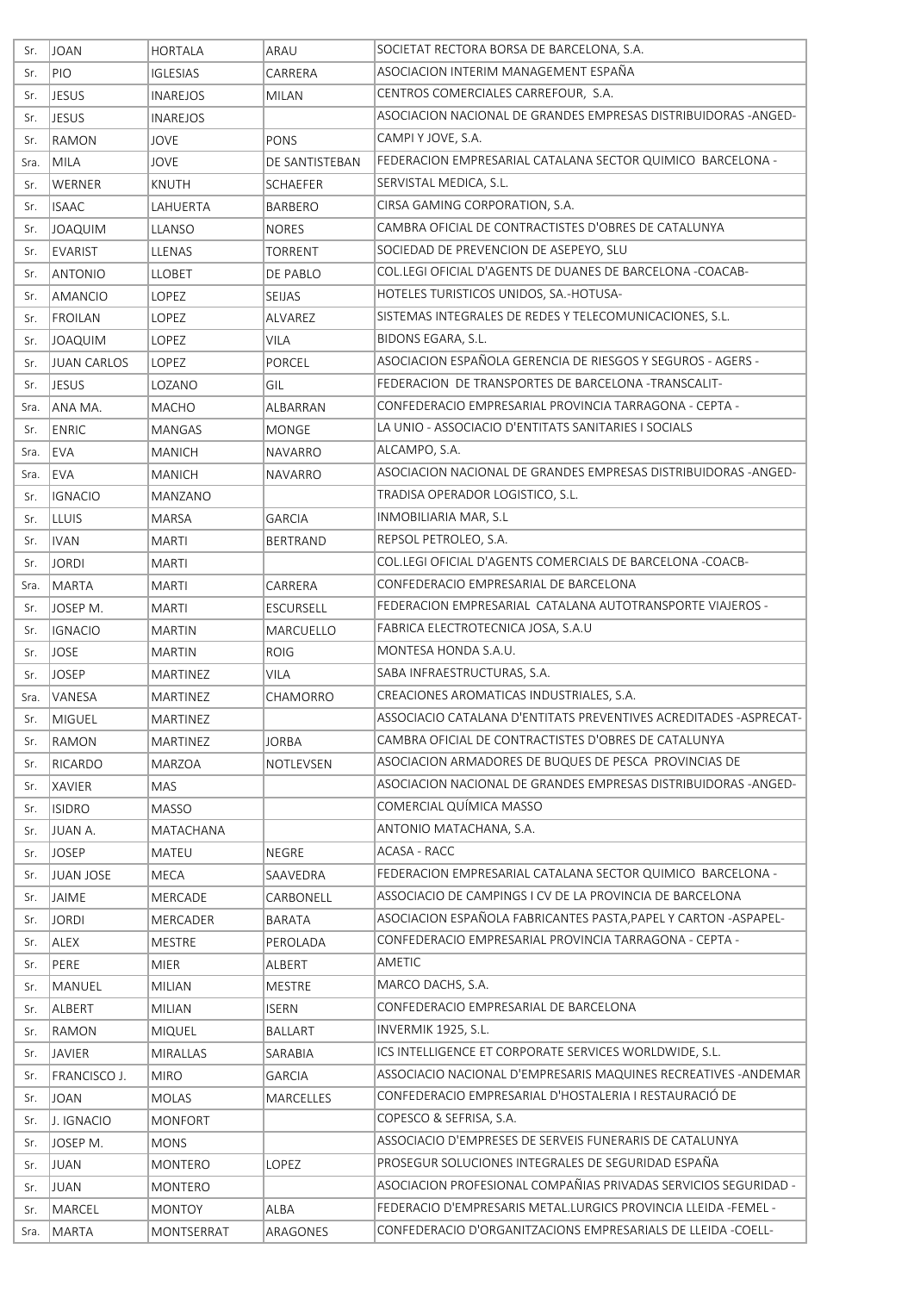| Sr.  | <b>JOAN</b>        | <b>HORTALA</b>              | ARAU             | SOCIETAT RECTORA BORSA DE BARCELONA, S.A.                                         |
|------|--------------------|-----------------------------|------------------|-----------------------------------------------------------------------------------|
| Sr.  | PIO                | <b>IGLESIAS</b>             | CARRERA          | ASOCIACION INTERIM MANAGEMENT ESPAÑA                                              |
| Sr.  | <b>JESUS</b>       | INAREJOS                    | <b>MILAN</b>     | CENTROS COMERCIALES CARREFOUR, S.A.                                               |
| Sr.  | <b>JESUS</b>       | <b>INAREJOS</b>             |                  | ASOCIACION NACIONAL DE GRANDES EMPRESAS DISTRIBUIDORAS -ANGED-                    |
| Sr.  | RAMON              | JOVE                        | PONS             | CAMPI Y JOVE, S.A.                                                                |
| Sra. | MILA               | <b>JOVE</b>                 | DE SANTISTEBAN   | FEDERACION EMPRESARIAL CATALANA SECTOR QUIMICO BARCELONA -                        |
| Sr.  | WERNER             | KNUTH                       | SCHAEFER         | SERVISTAL MEDICA, S.L.                                                            |
| Sr.  | <b>ISAAC</b>       | LAHUERTA                    | <b>BARBERO</b>   | CIRSA GAMING CORPORATION, S.A.                                                    |
| Sr.  | <b>JOAQUIM</b>     | <b>LLANSO</b>               | <b>NORES</b>     | CAMBRA OFICIAL DE CONTRACTISTES D'OBRES DE CATALUNYA                              |
| Sr.  | <b>EVARIST</b>     | LLENAS                      | <b>TORRENT</b>   | SOCIEDAD DE PREVENCION DE ASEPEYO, SLU                                            |
| Sr.  | <b>ANTONIO</b>     | LLOBET                      | DE PABLO         | COL.LEGI OFICIAL D'AGENTS DE DUANES DE BARCELONA -COACAB-                         |
| Sr.  | <b>AMANCIO</b>     | LOPEZ                       | SEIJAS           | HOTELES TURISTICOS UNIDOS, SA.-HOTUSA-                                            |
| Sr.  | FROILAN            | LOPEZ                       | ALVAREZ          | SISTEMAS INTEGRALES DE REDES Y TELECOMUNICACIONES, S.L.                           |
| Sr.  | <b>JOAQUIM</b>     | <b>LOPEZ</b>                | <b>VILA</b>      | BIDONS EGARA, S.L.                                                                |
| Sr.  | <b>JUAN CARLOS</b> | LOPEZ                       | PORCEL           | ASOCIACION ESPAÑOLA GERENCIA DE RIESGOS Y SEGUROS - AGERS -                       |
| Sr.  | <b>JESUS</b>       | LOZANO                      | GIL              | FEDERACION DE TRANSPORTES DE BARCELONA -TRANSCALIT-                               |
| Sra. | ANA MA.            | MACHO                       | ALBARRAN         | CONFEDERACIO EMPRESARIAL PROVINCIA TARRAGONA - CEPTA -                            |
| Sr.  | <b>ENRIC</b>       | MANGAS                      | <b>MONGE</b>     | LA UNIO - ASSOCIACIO D'ENTITATS SANITARIES I SOCIALS                              |
| Sra. | <b>EVA</b>         | <b>MANICH</b>               | <b>NAVARRO</b>   | ALCAMPO, S.A.                                                                     |
| Sra. | EVA                | MANICH                      | <b>NAVARRO</b>   | ASOCIACION NACIONAL DE GRANDES EMPRESAS DISTRIBUIDORAS -ANGED-                    |
| Sr.  | <b>IGNACIO</b>     | MANZANO                     |                  | TRADISA OPERADOR LOGISTICO, S.L.                                                  |
| Sr.  | <b>LLUIS</b>       | MARSA                       | <b>GARCIA</b>    | INMOBILIARIA MAR, S.L                                                             |
| Sr.  | <b>IVAN</b>        | <b>MARTI</b>                | <b>BERTRAND</b>  | REPSOL PETROLEO, S.A.                                                             |
| Sr.  | <b>JORDI</b>       | <b>MARTI</b>                |                  | COL.LEGI OFICIAL D'AGENTS COMERCIALS DE BARCELONA -COACB-                         |
| Sra. | MARTA              | <b>MARTI</b>                | CARRERA          | CONFEDERACIO EMPRESARIAL DE BARCELONA                                             |
| Sr.  | JOSEP M.           | <b>MARTI</b>                | <b>ESCURSELL</b> | FEDERACION EMPRESARIAL CATALANA AUTOTRANSPORTE VIAJEROS -                         |
| Sr.  | <b>IGNACIO</b>     | MARTIN                      | MARCUELLO        | FABRICA ELECTROTECNICA JOSA, S.A.U                                                |
| Sr.  | <b>JOSE</b>        | <b>MARTIN</b>               | <b>ROIG</b>      | MONTESA HONDA S.A.U.                                                              |
| Sr.  | <b>JOSEP</b>       | <b>MARTINEZ</b>             | <b>VILA</b>      | SABA INFRAESTRUCTURAS, S.A.                                                       |
| Sra. | VANESA             | <b>MARTINEZ</b>             | CHAMORRO         | CREACIONES AROMATICAS INDUSTRIALES, S.A.                                          |
| Sr.  | <b>MIGUEL</b>      | MARTINEZ                    |                  | ASSOCIACIO CATALANA D'ENTITATS PREVENTIVES ACREDITADES - ASPRECAT-                |
| Sr.  | RAMON              | <b>MARTINEZ</b>             | <b>JORBA</b>     | CAMBRA OFICIAL DE CONTRACTISTES D'OBRES DE CATALUNYA                              |
| Sr.  | RICARDO            | <b>MARZOA</b>               | NOTLEVSEN        | ASOCIACION ARMADORES DE BUQUES DE PESCA PROVINCIAS DE                             |
| Sr.  | XAVIER             | MAS                         |                  | ASOCIACION NACIONAL DE GRANDES EMPRESAS DISTRIBUIDORAS -ANGED-                    |
| Sr.  | <b>ISIDRO</b>      | <b>MASSO</b>                |                  | COMERCIAL QUÍMICA MASSO                                                           |
| Sr.  | JUAN A.            | MATACHANA                   |                  | ANTONIO MATACHANA, S.A.                                                           |
| Sr.  | <b>JOSEP</b>       | <b>MATEU</b>                | <b>NEGRE</b>     | ACASA - RACC                                                                      |
| Sr.  | <b>JUAN JOSE</b>   | MECA                        | SAAVEDRA         | FEDERACION EMPRESARIAL CATALANA SECTOR QUIMICO BARCELONA -                        |
| Sr.  | <b>JAIME</b>       | MERCADE                     | CARBONELL        | ASSOCIACIO DE CAMPINGS I CV DE LA PROVINCIA DE BARCELONA                          |
| Sr.  | <b>JORDI</b>       | <b>MERCADER</b>             | <b>BARATA</b>    | ASOCIACION ESPAÑOLA FABRICANTES PASTA, PAPEL Y CARTON - ASPAPEL-                  |
| Sr.  | ALEX               | MESTRE                      | PEROLADA         | CONFEDERACIO EMPRESARIAL PROVINCIA TARRAGONA - CEPTA -                            |
| Sr.  | PERE               | <b>MIER</b>                 | ALBERT           | AMETIC                                                                            |
| Sr.  | MANUEL             | MILIAN                      | MESTRE           | MARCO DACHS, S.A.                                                                 |
| Sr.  | ALBERT             | MILIAN                      | <b>ISERN</b>     | CONFEDERACIO EMPRESARIAL DE BARCELONA                                             |
| Sr.  | RAMON              | <b>MIQUEL</b>               | BALLART          | INVERMIK 1925, S.L.                                                               |
| Sr.  | <b>JAVIER</b>      | <b>MIRALLAS</b>             | SARABIA          | ICS INTELLIGENCE ET CORPORATE SERVICES WORLDWIDE, S.L.                            |
| Sr.  | FRANCISCO J.       | <b>MIRO</b>                 | GARCIA           | ASSOCIACIO NACIONAL D'EMPRESARIS MAQUINES RECREATIVES -ANDEMAR                    |
| Sr.  | <b>JOAN</b>        | <b>MOLAS</b>                | MARCELLES        | CONFEDERACIO EMPRESARIAL D'HOSTALERIA I RESTAURACIÓ DE<br>COPESCO & SEFRISA, S.A. |
| Sr.  | J. IGNACIO         | <b>MONFORT</b>              |                  | ASSOCIACIO D'EMPRESES DE SERVEIS FUNERARIS DE CATALUNYA                           |
| Sr.  | JOSEP M.           | <b>MONS</b>                 | LOPEZ            | PROSEGUR SOLUCIONES INTEGRALES DE SEGURIDAD ESPAÑA                                |
| Sr.  | <b>JUAN</b>        | MONTERO                     |                  | ASOCIACION PROFESIONAL COMPAÑIAS PRIVADAS SERVICIOS SEGURIDAD -                   |
| Sr.  | JUAN               | MONTERO                     |                  | FEDERACIO D'EMPRESARIS METAL.LURGICS PROVINCIA LLEIDA -FEMEL -                    |
| Sr.  | MARCEL<br>MARTA    | <b>MONTOY</b><br>MONTSERRAT | ALBA<br>ARAGONES | CONFEDERACIO D'ORGANITZACIONS EMPRESARIALS DE LLEIDA -COELL-                      |
| Sra. |                    |                             |                  |                                                                                   |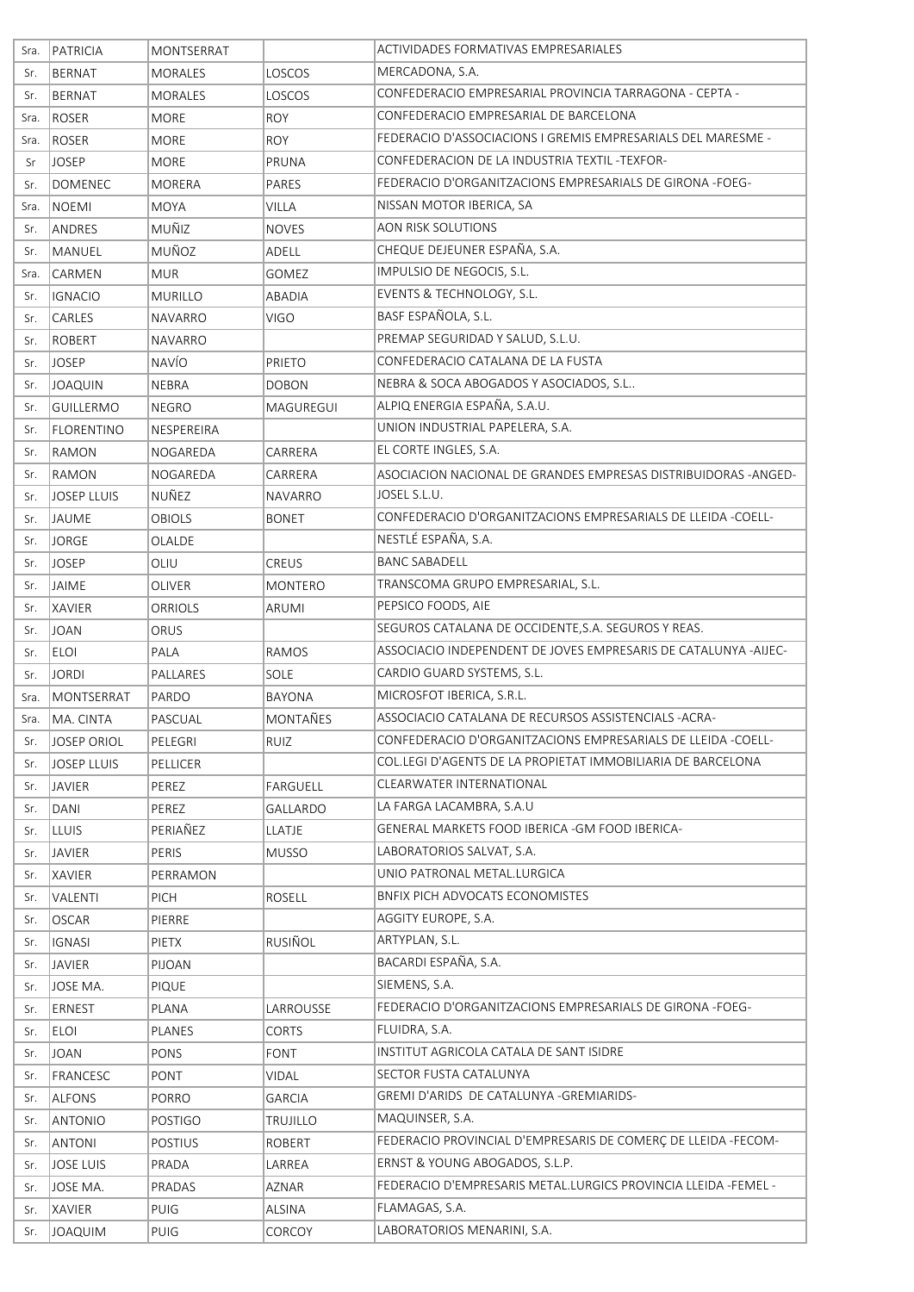| Sra. | <b>PATRICIA</b>   | MONTSERRAT     |                 | ACTIVIDADES FORMATIVAS EMPRESARIALES                            |
|------|-------------------|----------------|-----------------|-----------------------------------------------------------------|
| Sr.  | BERNAT            | <b>MORALES</b> | LOSCOS          | MERCADONA, S.A.                                                 |
| Sr.  | BERNAT            | MORALES        | LOSCOS          | CONFEDERACIO EMPRESARIAL PROVINCIA TARRAGONA - CEPTA -          |
| Sra. | ROSER             | <b>MORE</b>    | <b>ROY</b>      | CONFEDERACIO EMPRESARIAL DE BARCELONA                           |
| Sra. | ROSER             | <b>MORE</b>    | <b>ROY</b>      | FEDERACIO D'ASSOCIACIONS I GREMIS EMPRESARIALS DEL MARESME -    |
| Sr   | <b>JOSEP</b>      | <b>MORE</b>    | PRUNA           | CONFEDERACION DE LA INDUSTRIA TEXTIL-TEXFOR-                    |
| Sr.  | DOMENEC           | MORERA         | PARES           | FEDERACIO D'ORGANITZACIONS EMPRESARIALS DE GIRONA -FOEG-        |
| Sra. | <b>NOEMI</b>      | <b>MOYA</b>    | <b>VILLA</b>    | NISSAN MOTOR IBERICA, SA                                        |
| Sr.  | ANDRES            | MUÑIZ          | <b>NOVES</b>    | <b>AON RISK SOLUTIONS</b>                                       |
| Sr.  | MANUEL            | MUÑOZ          | ADELL           | CHEQUE DEJEUNER ESPAÑA, S.A.                                    |
| Sra. | CARMEN            | <b>MUR</b>     | GOMEZ           | IMPULSIO DE NEGOCIS, S.L.                                       |
| Sr.  | <b>IGNACIO</b>    | <b>MURILLO</b> | ABADIA          | EVENTS & TECHNOLOGY, S.L.                                       |
| Sr.  | CARLES            | NAVARRO        | <b>VIGO</b>     | BASF ESPAÑOLA, S.L.                                             |
| Sr.  | ROBERT            | NAVARRO        |                 | PREMAP SEGURIDAD Y SALUD, S.L.U.                                |
| Sr.  | <b>JOSEP</b>      | NAVÍO          | <b>PRIETO</b>   | CONFEDERACIO CATALANA DE LA FUSTA                               |
| Sr.  | <b>JOAQUIN</b>    | <b>NEBRA</b>   | <b>DOBON</b>    | NEBRA & SOCA ABOGADOS Y ASOCIADOS, S.L                          |
| Sr.  | <b>GUILLERMO</b>  | <b>NEGRO</b>   | MAGUREGUI       | ALPIQ ENERGIA ESPAÑA, S.A.U.                                    |
| Sr.  | <b>FLORENTINO</b> | NESPEREIRA     |                 | UNION INDUSTRIAL PAPELERA, S.A.                                 |
| Sr.  | RAMON             | NOGAREDA       | CARRERA         | EL CORTE INGLES, S.A.                                           |
| Sr.  | RAMON             | NOGAREDA       | CARRERA         | ASOCIACION NACIONAL DE GRANDES EMPRESAS DISTRIBUIDORAS -ANGED-  |
| Sr.  | JOSEP LLUIS       | NUÑEZ          | <b>NAVARRO</b>  | JOSEL S.L.U.                                                    |
| Sr.  | JAUME             | OBIOLS         | <b>BONET</b>    | CONFEDERACIO D'ORGANITZACIONS EMPRESARIALS DE LLEIDA -COELL-    |
| Sr.  | <b>JORGE</b>      | OLALDE         |                 | NESTLÉ ESPAÑA, S.A.                                             |
| Sr.  | <b>JOSEP</b>      | OLIU           | <b>CREUS</b>    | <b>BANC SABADELL</b>                                            |
| Sr.  | <b>JAIME</b>      | OLIVER         | MONTERO         | TRANSCOMA GRUPO EMPRESARIAL, S.L.                               |
| Sr.  | <b>XAVIER</b>     | ORRIOLS        | ARUMI           | PEPSICO FOODS, AIE                                              |
| Sr.  | <b>JOAN</b>       | ORUS           |                 | SEGUROS CATALANA DE OCCIDENTE, S.A. SEGUROS Y REAS.             |
| Sr.  | <b>ELOI</b>       | PALA           | <b>RAMOS</b>    | ASSOCIACIO INDEPENDENT DE JOVES EMPRESARIS DE CATALUNYA -AIJEC- |
| Sr.  | <b>JORDI</b>      | PALLARES       | SOLE            | CARDIO GUARD SYSTEMS, S.L.                                      |
| Sra. | MONTSERRAT        | PARDO          | <b>BAYONA</b>   | MICROSFOT IBERICA, S.R.L.                                       |
| Sra. | MA. CINTA         | PASCUAL        | MONTAÑES        | ASSOCIACIO CATALANA DE RECURSOS ASSISTENCIALS - ACRA-           |
| Sr.  | JOSEP ORIOL       | PELEGRI        | RUIZ            | CONFEDERACIO D'ORGANITZACIONS EMPRESARIALS DE LLEIDA -COELL-    |
| Sr.  | JOSEP LLUIS       | PELLICER       |                 | COL.LEGI D'AGENTS DE LA PROPIETAT IMMOBILIARIA DE BARCELONA     |
| Sr.  | JAVIER            | PEREZ          | FARGUELL        | CLEARWATER INTERNATIONAL                                        |
| Sr.  | DANI              | PEREZ          | GALLARDO        | LA FARGA LACAMBRA, S.A.U                                        |
| Sr.  | <b>LLUIS</b>      | PERIAÑEZ       | <b>LLATJE</b>   | GENERAL MARKETS FOOD IBERICA - GM FOOD IBERICA-                 |
| Sr.  | <b>JAVIER</b>     | PERIS          | <b>MUSSO</b>    | LABORATORIOS SALVAT, S.A.                                       |
| Sr.  | <b>XAVIER</b>     | PERRAMON       |                 | UNIO PATRONAL METAL.LURGICA                                     |
| Sr.  | VALENTI           | PICH           | ROSELL          | BNFIX PICH ADVOCATS ECONOMISTES                                 |
| Sr.  | <b>OSCAR</b>      | PIERRE         |                 | AGGITY EUROPE, S.A.                                             |
| Sr.  | <b>IGNASI</b>     | PIETX          | RUSIÑOL         | ARTYPLAN, S.L.                                                  |
| Sr.  | <b>JAVIER</b>     | PIJOAN         |                 | BACARDI ESPAÑA, S.A.                                            |
| Sr.  | JOSE MA.          | PIQUE          |                 | SIEMENS, S.A.                                                   |
| Sr.  | ERNEST            | PLANA          | LARROUSSE       | FEDERACIO D'ORGANITZACIONS EMPRESARIALS DE GIRONA -FOEG-        |
| Sr.  | <b>ELOI</b>       | PLANES         | <b>CORTS</b>    | FLUIDRA, S.A.                                                   |
| Sr.  | <b>JOAN</b>       | PONS           | <b>FONT</b>     | INSTITUT AGRICOLA CATALA DE SANT ISIDRE                         |
| Sr.  | FRANCESC          | PONT           | <b>VIDAL</b>    | SECTOR FUSTA CATALUNYA                                          |
| Sr.  | ALFONS            | PORRO          | <b>GARCIA</b>   | GREMI D'ARIDS DE CATALUNYA - GREMIARIDS-                        |
| Sr.  | <b>ANTONIO</b>    | POSTIGO        | <b>TRUJILLO</b> | MAQUINSER, S.A.                                                 |
| Sr.  | <b>ANTONI</b>     | <b>POSTIUS</b> | <b>ROBERT</b>   | FEDERACIO PROVINCIAL D'EMPRESARIS DE COMERÇ DE LLEIDA -FECOM-   |
| Sr.  | <b>JOSE LUIS</b>  | PRADA          | LARREA          | ERNST & YOUNG ABOGADOS, S.L.P.                                  |
| Sr.  | JOSE MA.          | PRADAS         | AZNAR           | FEDERACIO D'EMPRESARIS METAL.LURGICS PROVINCIA LLEIDA -FEMEL -  |
| Sr.  | <b>XAVIER</b>     | <b>PUIG</b>    | ALSINA          | FLAMAGAS, S.A.                                                  |
| Sr.  | JOAQUIM           | PUIG           | CORCOY          | LABORATORIOS MENARINI, S.A.                                     |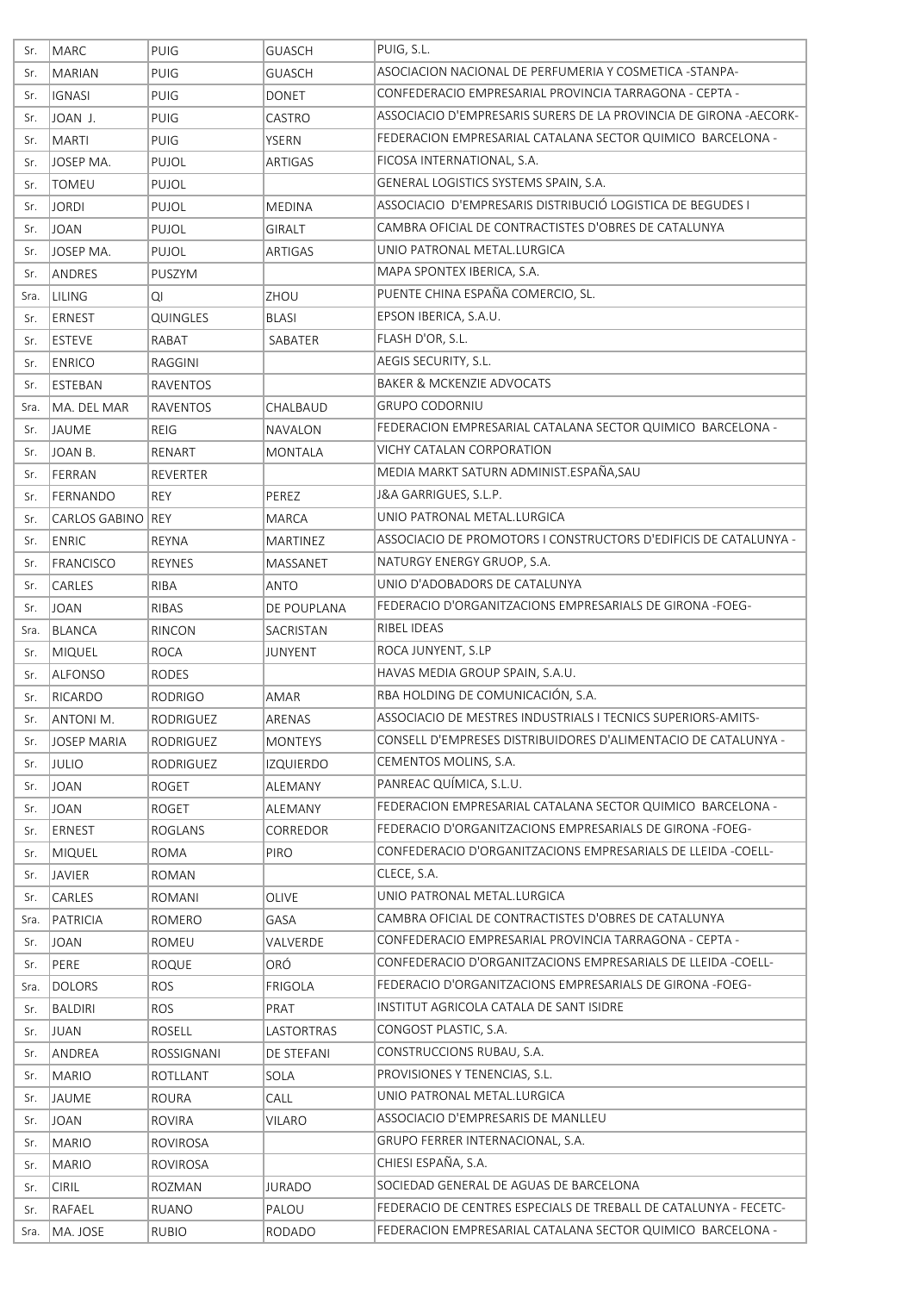| Sr.        | MARC                  | PUIG                       | <b>GUASCH</b>         | PUIG, S.L.                                                                                                               |
|------------|-----------------------|----------------------------|-----------------------|--------------------------------------------------------------------------------------------------------------------------|
| Sr.        | MARIAN                | PUIG                       | <b>GUASCH</b>         | ASOCIACION NACIONAL DE PERFUMERIA Y COSMETICA -STANPA-                                                                   |
| Sr.        | <b>IGNASI</b>         | PUIG                       | <b>DONET</b>          | CONFEDERACIO EMPRESARIAL PROVINCIA TARRAGONA - CEPTA -                                                                   |
| Sr.        | JOAN J.               | PUIG                       | CASTRO                | ASSOCIACIO D'EMPRESARIS SURERS DE LA PROVINCIA DE GIRONA -AECORK-                                                        |
| Sr.        | MARTI                 | PUIG                       | <b>YSERN</b>          | FEDERACION EMPRESARIAL CATALANA SECTOR QUIMICO BARCELONA -                                                               |
| Sr.        | JOSEP MA.             | PUJOL                      | ARTIGAS               | FICOSA INTERNATIONAL, S.A.                                                                                               |
| Sr.        | <b>TOMEU</b>          | PUJOL                      |                       | GENERAL LOGISTICS SYSTEMS SPAIN, S.A.                                                                                    |
| Sr.        | <b>JORDI</b>          | PUJOL                      | <b>MEDINA</b>         | ASSOCIACIO D'EMPRESARIS DISTRIBUCIÓ LOGISTICA DE BEGUDES I                                                               |
| Sr.        | <b>JOAN</b>           | PUJOL                      | <b>GIRALT</b>         | CAMBRA OFICIAL DE CONTRACTISTES D'OBRES DE CATALUNYA                                                                     |
| Sr.        | JOSEP MA.             | PUJOL                      | ARTIGAS               | UNIO PATRONAL METAL.LURGICA                                                                                              |
| Sr.        | ANDRES                | PUSZYM                     |                       | MAPA SPONTEX IBERICA, S.A.                                                                                               |
| Sra.       | LILING                | QI                         | ZHOU                  | PUENTE CHINA ESPAÑA COMERCIO, SL.                                                                                        |
| Sr.        | ERNEST                | QUINGLES                   | <b>BLASI</b>          | EPSON IBERICA, S.A.U.                                                                                                    |
| Sr.        | <b>ESTEVE</b>         | RABAT                      | SABATER               | FLASH D'OR, S.L.                                                                                                         |
| Sr.        | <b>ENRICO</b>         | RAGGINI                    |                       | AEGIS SECURITY, S.L.                                                                                                     |
| Sr.        | ESTEBAN               | <b>RAVENTOS</b>            |                       | <b>BAKER &amp; MCKENZIE ADVOCATS</b>                                                                                     |
| Sra.       | MA. DEL MAR           | RAVENTOS                   | CHALBAUD              | <b>GRUPO CODORNIU</b>                                                                                                    |
| Sr.        | JAUME                 | <b>REIG</b>                | <b>NAVALON</b>        | FEDERACION EMPRESARIAL CATALANA SECTOR QUIMICO BARCELONA -                                                               |
| Sr.        | JOAN B.               | RENART                     | <b>MONTALA</b>        | <b>VICHY CATALAN CORPORATION</b>                                                                                         |
| Sr.        | FERRAN                | <b>REVERTER</b>            |                       | MEDIA MARKT SATURN ADMINIST.ESPAÑA, SAU                                                                                  |
| Sr.        | <b>FERNANDO</b>       | REY                        | PEREZ                 | J&A GARRIGUES, S.L.P.                                                                                                    |
| Sr.        | CARLOS GABINO REY     |                            | <b>MARCA</b>          | UNIO PATRONAL METAL.LURGICA                                                                                              |
| Sr.        | ENRIC                 | <b>REYNA</b>               | MARTINEZ              | ASSOCIACIO DE PROMOTORS I CONSTRUCTORS D'EDIFICIS DE CATALUNYA -                                                         |
| Sr.        | <b>FRANCISCO</b>      | <b>REYNES</b>              | MASSANET              | NATURGY ENERGY GRUOP, S.A.                                                                                               |
| Sr.        | <b>CARLES</b>         | RIBA                       | ANTO                  | UNIO D'ADOBADORS DE CATALUNYA                                                                                            |
| Sr.        | <b>JOAN</b>           | RIBAS                      | DE POUPLANA           | FEDERACIO D'ORGANITZACIONS EMPRESARIALS DE GIRONA -FOEG-                                                                 |
| Sra.       | BLANCA                | RINCON                     | SACRISTAN             | RIBEL IDEAS                                                                                                              |
| Sr.        | <b>MIQUEL</b>         | <b>ROCA</b>                | JUNYENT               | ROCA JUNYENT, S.LP                                                                                                       |
| Sr.        | ALFONSO               | RODES                      |                       | HAVAS MEDIA GROUP SPAIN, S.A.U.                                                                                          |
| Sr.        | RICARDO               | <b>RODRIGO</b>             | AMAR                  | RBA HOLDING DE COMUNICACIÓN, S.A.                                                                                        |
| Sr.        | <b>ANTONI M.</b>      | RODRIGUEZ                  | ARENAS                | ASSOCIACIO DE MESTRES INDUSTRIALS I TECNICS SUPERIORS-AMITS-                                                             |
| Sr.        | JOSEP MARIA           | RODRIGUEZ                  | <b>MONTEYS</b>        | CONSELL D'EMPRESES DISTRIBUIDORES D'ALIMENTACIO DE CATALUNYA -                                                           |
| Sr.        | <b>JULIO</b>          | RODRIGUEZ                  | <b>IZQUIERDO</b>      | CEMENTOS MOLINS, S.A.                                                                                                    |
| Sr.        | <b>JOAN</b>           | ROGET                      | ALEMANY               | PANREAC QUÍMICA, S.L.U.                                                                                                  |
| Sr.        | <b>JOAN</b>           | <b>ROGET</b>               | ALEMANY               | FEDERACION EMPRESARIAL CATALANA SECTOR QUIMICO BARCELONA -                                                               |
| Sr.        | <b>ERNEST</b>         | ROGLANS                    | CORREDOR              | FEDERACIO D'ORGANITZACIONS EMPRESARIALS DE GIRONA -FOEG-<br>CONFEDERACIO D'ORGANITZACIONS EMPRESARIALS DE LLEIDA -COELL- |
| Sr.        | MIQUEL                | ROMA                       | PIRO                  |                                                                                                                          |
| Sr.        | JAVIER                | ROMAN                      |                       | CLECE, S.A.<br>UNIO PATRONAL METAL.LURGICA                                                                               |
| Sr.        | CARLES                | ROMANI                     | OLIVE                 |                                                                                                                          |
| Sra.       | PATRICIA              | ROMERO                     | GASA                  | CAMBRA OFICIAL DE CONTRACTISTES D'OBRES DE CATALUNYA<br>CONFEDERACIO EMPRESARIAL PROVINCIA TARRAGONA - CEPTA -           |
| Sr.        | <b>JOAN</b>           | ROMEU                      | VALVERDE              | CONFEDERACIO D'ORGANITZACIONS EMPRESARIALS DE LLEIDA -COELL-                                                             |
| Sr.        | PERE<br><b>DOLORS</b> | <b>ROQUE</b><br><b>ROS</b> | ORÓ<br><b>FRIGOLA</b> | FEDERACIO D'ORGANITZACIONS EMPRESARIALS DE GIRONA -FOEG-                                                                 |
| Sra.       | <b>BALDIRI</b>        | <b>ROS</b>                 | PRAT                  | INSTITUT AGRICOLA CATALA DE SANT ISIDRE                                                                                  |
| Sr.<br>Sr. | <b>JUAN</b>           | ROSELL                     | LASTORTRAS            | CONGOST PLASTIC, S.A.                                                                                                    |
|            |                       |                            | DE STEFANI            | CONSTRUCCIONS RUBAU, S.A.                                                                                                |
| Sr.<br>Sr. | ANDREA<br>MARIO       | ROSSIGNANI<br>ROTLLANT     | SOLA                  | PROVISIONES Y TENENCIAS, S.L.                                                                                            |
| Sr.        | <b>JAUME</b>          | ROURA                      | CALL                  | UNIO PATRONAL METAL.LURGICA                                                                                              |
| Sr.        | <b>JOAN</b>           | <b>ROVIRA</b>              | VILARO                | ASSOCIACIO D'EMPRESARIS DE MANLLEU                                                                                       |
| Sr.        | <b>MARIO</b>          | ROVIROSA                   |                       | GRUPO FERRER INTERNACIONAL, S.A.                                                                                         |
| Sr.        | MARIO                 | ROVIROSA                   |                       | CHIESI ESPAÑA, S.A.                                                                                                      |
| Sr.        | <b>CIRIL</b>          | ROZMAN                     | <b>JURADO</b>         | SOCIEDAD GENERAL DE AGUAS DE BARCELONA                                                                                   |
| Sr.        | RAFAEL                | RUANO                      | PALOU                 | FEDERACIO DE CENTRES ESPECIALS DE TREBALL DE CATALUNYA - FECETC-                                                         |
| Sra.       | MA. JOSE              | <b>RUBIO</b>               | <b>RODADO</b>         | FEDERACION EMPRESARIAL CATALANA SECTOR QUIMICO BARCELONA -                                                               |
|            |                       |                            |                       |                                                                                                                          |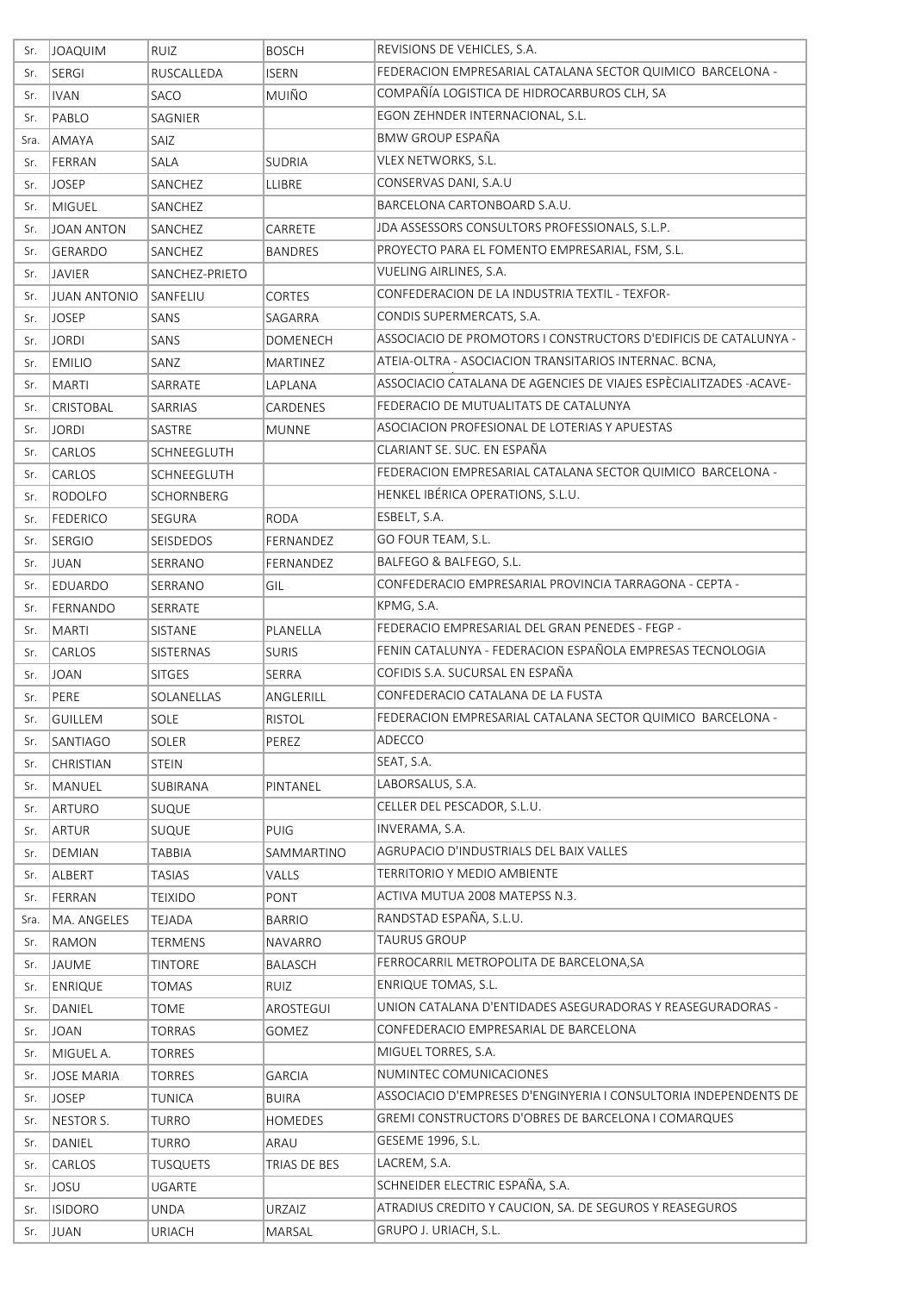| Sr.  | JOAQUIM             | <b>RUIZ</b>      | <b>BOSCH</b>    | REVISIONS DE VEHICLES, S.A.                                       |
|------|---------------------|------------------|-----------------|-------------------------------------------------------------------|
| Sr.  | SERGI               | RUSCALLEDA       | <b>ISERN</b>    | FEDERACION EMPRESARIAL CATALANA SECTOR QUIMICO BARCELONA -        |
| Sr.  | <b>IVAN</b>         | SACO             | MUIÑO           | COMPAÑÍA LOGISTICA DE HIDROCARBUROS CLH, SA                       |
| Sr.  | PABLO               | SAGNIER          |                 | EGON ZEHNDER INTERNACIONAL, S.L.                                  |
| Sra. | AMAYA               | SAIZ             |                 | <b>BMW GROUP ESPAÑA</b>                                           |
| Sr.  | FERRAN              | SALA             | <b>SUDRIA</b>   | VLEX NETWORKS, S.L.                                               |
| Sr.  | JOSEP               | SANCHEZ          | LLIBRE          | CONSERVAS DANI, S.A.U                                             |
| Sr.  | MIGUEL              | SANCHEZ          |                 | BARCELONA CARTONBOARD S.A.U.                                      |
| Sr.  | JOAN ANTON          | SANCHEZ          | CARRETE         | JDA ASSESSORS CONSULTORS PROFESSIONALS, S.L.P.                    |
| Sr.  | GERARDO             | SANCHEZ          | <b>BANDRES</b>  | PROYECTO PARA EL FOMENTO EMPRESARIAL, FSM, S.L.                   |
| Sr.  | <b>JAVIER</b>       | SANCHEZ-PRIETO   |                 | VUELING AIRLINES, S.A.                                            |
| Sr.  | <b>JUAN ANTONIO</b> | SANFELIU         | CORTES          | CONFEDERACION DE LA INDUSTRIA TEXTIL - TEXFOR-                    |
| Sr.  | <b>JOSEP</b>        | SANS             | SAGARRA         | CONDIS SUPERMERCATS, S.A.                                         |
| Sr.  | <b>JORDI</b>        | SANS             | <b>DOMENECH</b> | ASSOCIACIO DE PROMOTORS I CONSTRUCTORS D'EDIFICIS DE CATALUNYA -  |
| Sr.  | <b>EMILIO</b>       | SANZ             | MARTINEZ        | ATEIA-OLTRA - ASOCIACION TRANSITARIOS INTERNAC. BCNA,             |
| Sr.  | MARTI               | SARRATE          | LAPLANA         | ASSOCIACIO CATALANA DE AGENCIES DE VIAJES ESPÈCIALITZADES -ACAVE- |
| Sr.  | <b>CRISTOBAL</b>    | SARRIAS          | CARDENES        | FEDERACIO DE MUTUALITATS DE CATALUNYA                             |
| Sr.  | <b>JORDI</b>        | <b>SASTRE</b>    | <b>MUNNE</b>    | ASOCIACION PROFESIONAL DE LOTERIAS Y APUESTAS                     |
| Sr.  | <b>CARLOS</b>       | SCHNEEGLUTH      |                 | CLARIANT SE. SUC. EN ESPAÑA                                       |
| Sr.  | <b>CARLOS</b>       | SCHNEEGLUTH      |                 | FEDERACION EMPRESARIAL CATALANA SECTOR QUIMICO BARCELONA -        |
| Sr.  | RODOLFO             | SCHORNBERG       |                 | HENKEL IBÉRICA OPERATIONS, S.L.U.                                 |
| Sr.  | <b>FEDERICO</b>     | SEGURA           | <b>RODA</b>     | ESBELT, S.A.                                                      |
| Sr.  | <b>SERGIO</b>       | SEISDEDOS        | FERNANDEZ       | GO FOUR TEAM, S.L.                                                |
| Sr.  | JUAN                | SERRANO          | FERNANDEZ       | BALFEGO & BALFEGO, S.L.                                           |
| Sr.  | EDUARDO             | SERRANO          | GIL             | CONFEDERACIO EMPRESARIAL PROVINCIA TARRAGONA - CEPTA -            |
| Sr.  | FERNANDO            | SERRATE          |                 | KPMG, S.A.                                                        |
| Sr.  | MARTI               | SISTANE          | PLANELLA        | FEDERACIO EMPRESARIAL DEL GRAN PENEDES - FEGP -                   |
| Sr.  | <b>CARLOS</b>       | <b>SISTERNAS</b> | <b>SURIS</b>    | FENIN CATALUNYA - FEDERACION ESPAÑOLA EMPRESAS TECNOLOGIA         |
| Sr.  | <b>JOAN</b>         | <b>SITGES</b>    | SERRA           | COFIDIS S.A. SUCURSAL EN ESPAÑA                                   |
| Sr.  | PERE                | SOLANELLAS       | ANGLERILL       | CONFEDERACIO CATALANA DE LA FUSTA                                 |
| Sr.  | <b>GUILLEM</b>      | SOLE             | <b>RISTOL</b>   | FEDERACION EMPRESARIAL CATALANA SECTOR QUIMICO BARCELONA -        |
| Sr.  | SANTIAGO            | <b>SOLER</b>     | PEREZ           | ADECCO                                                            |
| Sr.  | <b>CHRISTIAN</b>    | <b>STEIN</b>     |                 | SEAT, S.A.                                                        |
| Sr.  | MANUEL              | SUBIRANA         | PINTANEL        | LABORSALUS, S.A.                                                  |
| Sr.  | ARTURO              | <b>SUQUE</b>     |                 | CELLER DEL PESCADOR, S.L.U.                                       |
| Sr.  | ARTUR               | <b>SUQUE</b>     | <b>PUIG</b>     | INVERAMA, S.A.                                                    |
| Sr.  | DEMIAN              | TABBIA           | SAMMARTINO      | AGRUPACIO D'INDUSTRIALS DEL BAIX VALLES                           |
| Sr.  | ALBERT              | TASIAS           | VALLS           | <b>TERRITORIO Y MEDIO AMBIENTE</b>                                |
| Sr.  | FERRAN              | <b>TEIXIDO</b>   | PONT            | ACTIVA MUTUA 2008 MATEPSS N.3.                                    |
| Sra. | MA. ANGELES         | <b>TEJADA</b>    | <b>BARRIO</b>   | RANDSTAD ESPAÑA, S.L.U.                                           |
| Sr.  | RAMON               | TERMENS          | NAVARRO         | <b>TAURUS GROUP</b>                                               |
| Sr.  | JAUME               | <b>TINTORE</b>   | <b>BALASCH</b>  | FERROCARRIL METROPOLITA DE BARCELONA, SA                          |
| Sr.  | <b>ENRIQUE</b>      | <b>TOMAS</b>     | <b>RUIZ</b>     | <b>ENRIQUE TOMAS, S.L.</b>                                        |
| Sr.  | DANIEL              | TOME             | AROSTEGUI       | UNION CATALANA D'ENTIDADES ASEGURADORAS Y REASEGURADORAS -        |
| Sr.  | <b>JOAN</b>         | <b>TORRAS</b>    | GOMEZ           | CONFEDERACIO EMPRESARIAL DE BARCELONA                             |
| Sr.  | MIGUEL A.           | TORRES           |                 | MIGUEL TORRES, S.A.                                               |
| Sr.  | <b>JOSE MARIA</b>   | <b>TORRES</b>    | <b>GARCIA</b>   | NUMINTEC COMUNICACIONES                                           |
| Sr.  | <b>JOSEP</b>        | TUNICA           | <b>BUIRA</b>    | ASSOCIACIO D'EMPRESES D'ENGINYERIA I CONSULTORIA INDEPENDENTS DE  |
| Sr.  | NESTOR S.           | <b>TURRO</b>     | HOMEDES         | GREMI CONSTRUCTORS D'OBRES DE BARCELONA I COMARQUES               |
| Sr.  | DANIEL              | TURRO            | ARAU            | GESEME 1996, S.L.                                                 |
| Sr.  | <b>CARLOS</b>       | <b>TUSQUETS</b>  | TRIAS DE BES    | LACREM, S.A.                                                      |
| Sr.  | <b>JOSU</b>         | <b>UGARTE</b>    |                 | SCHNEIDER ELECTRIC ESPAÑA, S.A.                                   |
| Sr.  | <b>ISIDORO</b>      | <b>UNDA</b>      | <b>URZAIZ</b>   | ATRADIUS CREDITO Y CAUCION, SA. DE SEGUROS Y REASEGUROS           |
| Sr.  | JUAN                | URIACH           | <b>MARSAL</b>   | GRUPO J. URIACH, S.L.                                             |
|      |                     |                  |                 |                                                                   |